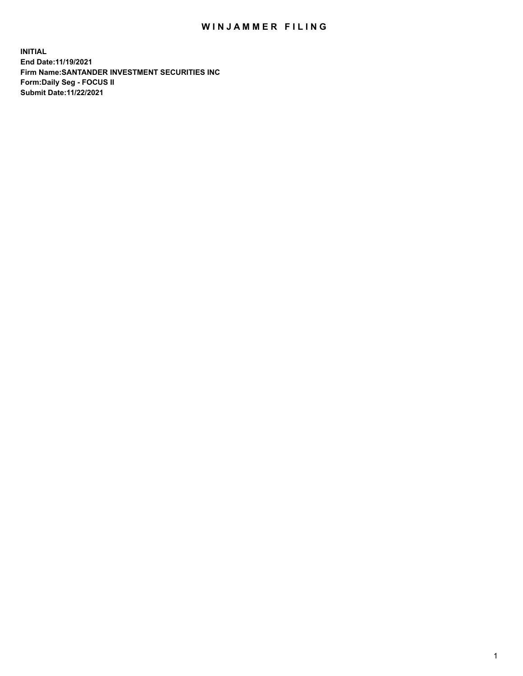## WIN JAMMER FILING

**INITIAL End Date:11/19/2021 Firm Name:SANTANDER INVESTMENT SECURITIES INC Form:Daily Seg - FOCUS II Submit Date:11/22/2021**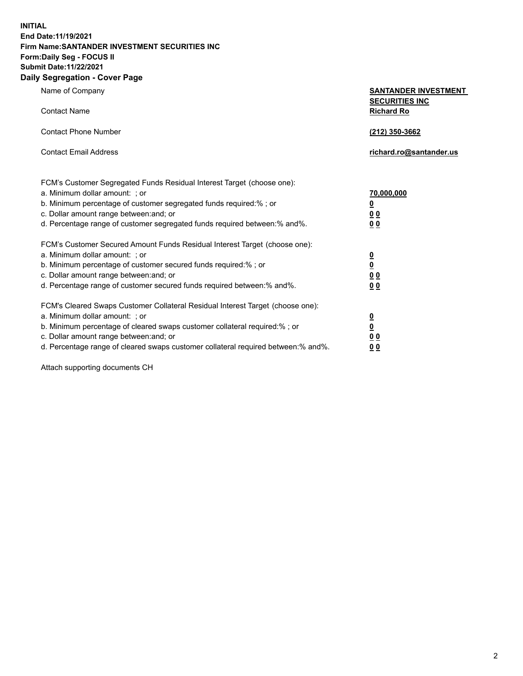**INITIAL End Date:11/19/2021 Firm Name:SANTANDER INVESTMENT SECURITIES INC Form:Daily Seg - FOCUS II Submit Date:11/22/2021 Daily Segregation - Cover Page**

| $\gamma$ ocgi cganon - oo $\gamma$ or - ago                                       |                                                      |
|-----------------------------------------------------------------------------------|------------------------------------------------------|
| Name of Company                                                                   | <b>SANTANDER INVESTMENT</b><br><b>SECURITIES INC</b> |
| <b>Contact Name</b>                                                               | <b>Richard Ro</b>                                    |
| <b>Contact Phone Number</b>                                                       | (212) 350-3662                                       |
| <b>Contact Email Address</b>                                                      | richard.ro@santander.us                              |
| FCM's Customer Segregated Funds Residual Interest Target (choose one):            |                                                      |
| a. Minimum dollar amount: ; or                                                    | 70,000,000                                           |
| b. Minimum percentage of customer segregated funds required:%; or                 | <u>0</u>                                             |
| c. Dollar amount range between: and; or                                           | 00                                                   |
| d. Percentage range of customer segregated funds required between:% and%.         | 0 <sub>0</sub>                                       |
| FCM's Customer Secured Amount Funds Residual Interest Target (choose one):        |                                                      |
| a. Minimum dollar amount: ; or                                                    | $\frac{0}{0}$                                        |
| b. Minimum percentage of customer secured funds required:%; or                    |                                                      |
| c. Dollar amount range between: and; or                                           | 0 <sub>0</sub>                                       |
| d. Percentage range of customer secured funds required between: % and %.          | 0 <sub>0</sub>                                       |
| FCM's Cleared Swaps Customer Collateral Residual Interest Target (choose one):    |                                                      |
| a. Minimum dollar amount: ; or                                                    | $\frac{0}{0}$                                        |
| b. Minimum percentage of cleared swaps customer collateral required:% ; or        |                                                      |
| c. Dollar amount range between: and; or                                           | 0 <sub>0</sub>                                       |
| d. Percentage range of cleared swaps customer collateral required between:% and%. | 0 <sub>0</sub>                                       |

Attach supporting documents CH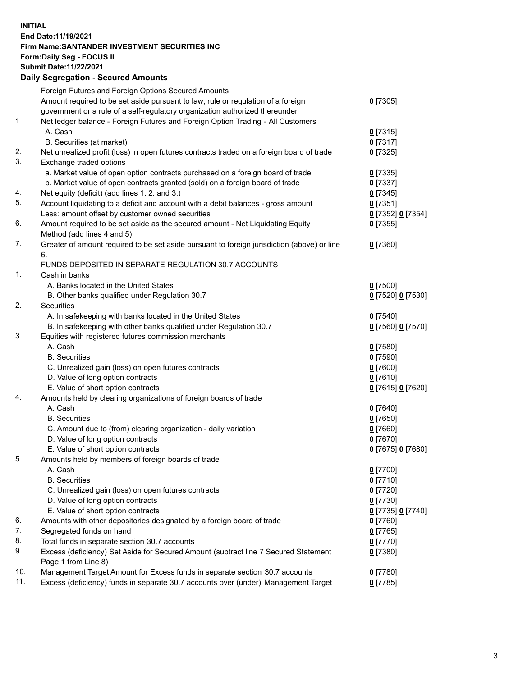## **INITIAL End Date:11/19/2021 Firm Name:SANTANDER INVESTMENT SECURITIES INC Form:Daily Seg - FOCUS II Submit Date:11/22/2021 Daily Segregation - Secured Amounts**

|     | Foreign Futures and Foreign Options Secured Amounts                                         |                   |
|-----|---------------------------------------------------------------------------------------------|-------------------|
|     | Amount required to be set aside pursuant to law, rule or regulation of a foreign            | $0$ [7305]        |
|     | government or a rule of a self-regulatory organization authorized thereunder                |                   |
| 1.  | Net ledger balance - Foreign Futures and Foreign Option Trading - All Customers             |                   |
|     | A. Cash                                                                                     | $0$ [7315]        |
|     | B. Securities (at market)                                                                   | $0$ [7317]        |
| 2.  | Net unrealized profit (loss) in open futures contracts traded on a foreign board of trade   | $0$ [7325]        |
| 3.  | Exchange traded options                                                                     |                   |
|     | a. Market value of open option contracts purchased on a foreign board of trade              | $0$ [7335]        |
|     | b. Market value of open contracts granted (sold) on a foreign board of trade                | $0$ [7337]        |
| 4.  | Net equity (deficit) (add lines 1. 2. and 3.)                                               | $0$ [7345]        |
| 5.  | Account liquidating to a deficit and account with a debit balances - gross amount           | $0$ [7351]        |
|     | Less: amount offset by customer owned securities                                            | 0 [7352] 0 [7354] |
| 6.  | Amount required to be set aside as the secured amount - Net Liquidating Equity              | $0$ [7355]        |
|     | Method (add lines 4 and 5)                                                                  |                   |
| 7.  | Greater of amount required to be set aside pursuant to foreign jurisdiction (above) or line | $0$ [7360]        |
|     | 6.                                                                                          |                   |
|     | FUNDS DEPOSITED IN SEPARATE REGULATION 30.7 ACCOUNTS                                        |                   |
| 1.  | Cash in banks                                                                               |                   |
|     | A. Banks located in the United States                                                       | $0$ [7500]        |
|     | B. Other banks qualified under Regulation 30.7                                              | 0 [7520] 0 [7530] |
| 2.  | Securities                                                                                  |                   |
|     | A. In safekeeping with banks located in the United States                                   | $0$ [7540]        |
|     | B. In safekeeping with other banks qualified under Regulation 30.7                          | 0 [7560] 0 [7570] |
| 3.  | Equities with registered futures commission merchants                                       |                   |
|     | A. Cash                                                                                     | $0$ [7580]        |
|     | <b>B.</b> Securities                                                                        | $0$ [7590]        |
|     | C. Unrealized gain (loss) on open futures contracts                                         | $0$ [7600]        |
|     | D. Value of long option contracts                                                           | $0$ [7610]        |
|     | E. Value of short option contracts                                                          | 0 [7615] 0 [7620] |
| 4.  | Amounts held by clearing organizations of foreign boards of trade                           |                   |
|     | A. Cash                                                                                     | $0$ [7640]        |
|     | <b>B.</b> Securities                                                                        | $0$ [7650]        |
|     | C. Amount due to (from) clearing organization - daily variation                             | $0$ [7660]        |
|     | D. Value of long option contracts                                                           | $0$ [7670]        |
|     | E. Value of short option contracts                                                          | 0 [7675] 0 [7680] |
| 5.  | Amounts held by members of foreign boards of trade                                          |                   |
|     | A. Cash                                                                                     | $0$ [7700]        |
|     | <b>B.</b> Securities                                                                        | $0$ [7710]        |
|     | C. Unrealized gain (loss) on open futures contracts                                         | $0$ [7720]        |
|     | D. Value of long option contracts                                                           | $0$ [7730]        |
|     | E. Value of short option contracts                                                          | 0 [7735] 0 [7740] |
| 6.  | Amounts with other depositories designated by a foreign board of trade                      | 0 [7760]          |
| 7.  | Segregated funds on hand                                                                    | $0$ [7765]        |
| 8.  | Total funds in separate section 30.7 accounts                                               | 0 [7770]          |
| 9.  | Excess (deficiency) Set Aside for Secured Amount (subtract line 7 Secured Statement         | $0$ [7380]        |
|     | Page 1 from Line 8)                                                                         |                   |
| 10. | Management Target Amount for Excess funds in separate section 30.7 accounts                 | $0$ [7780]        |
| 11. | Excess (deficiency) funds in separate 30.7 accounts over (under) Management Target          | $0$ [7785]        |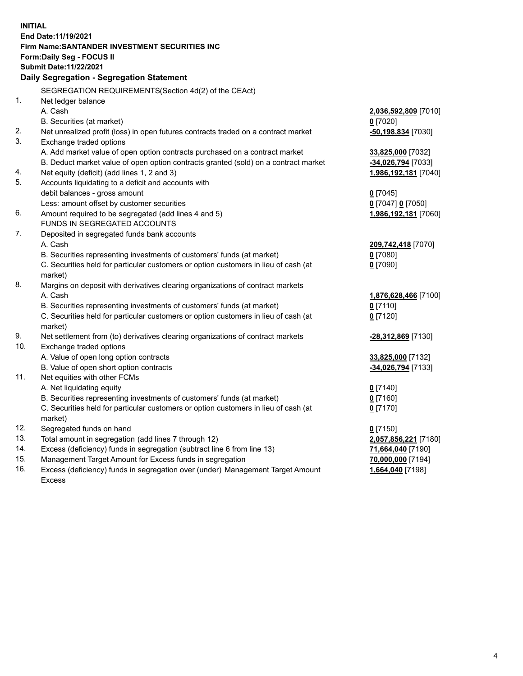| <b>INITIAL</b> |                                                                                     |                      |  |  |  |  |
|----------------|-------------------------------------------------------------------------------------|----------------------|--|--|--|--|
|                | End Date: 11/19/2021                                                                |                      |  |  |  |  |
|                | Firm Name: SANTANDER INVESTMENT SECURITIES INC                                      |                      |  |  |  |  |
|                | Form: Daily Seg - FOCUS II                                                          |                      |  |  |  |  |
|                | <b>Submit Date:11/22/2021</b>                                                       |                      |  |  |  |  |
|                | Daily Segregation - Segregation Statement                                           |                      |  |  |  |  |
|                |                                                                                     |                      |  |  |  |  |
|                | SEGREGATION REQUIREMENTS(Section 4d(2) of the CEAct)                                |                      |  |  |  |  |
| 1.             | Net ledger balance                                                                  |                      |  |  |  |  |
|                | A. Cash                                                                             | 2,036,592,809 [7010] |  |  |  |  |
|                | B. Securities (at market)                                                           | $0$ [7020]           |  |  |  |  |
| 2.             | Net unrealized profit (loss) in open futures contracts traded on a contract market  | -50,198,834 [7030]   |  |  |  |  |
| 3.             | Exchange traded options                                                             |                      |  |  |  |  |
|                | A. Add market value of open option contracts purchased on a contract market         | 33,825,000 [7032]    |  |  |  |  |
|                | B. Deduct market value of open option contracts granted (sold) on a contract market | -34,026,794 [7033]   |  |  |  |  |
| 4.             | Net equity (deficit) (add lines 1, 2 and 3)                                         | 1,986,192,181 [7040] |  |  |  |  |
| 5.             | Accounts liquidating to a deficit and accounts with                                 |                      |  |  |  |  |
|                | debit balances - gross amount                                                       | $0$ [7045]           |  |  |  |  |
|                | Less: amount offset by customer securities                                          | 0 [7047] 0 [7050]    |  |  |  |  |
| 6.             | Amount required to be segregated (add lines 4 and 5)                                | 1,986,192,181 [7060] |  |  |  |  |
|                | FUNDS IN SEGREGATED ACCOUNTS                                                        |                      |  |  |  |  |
| 7.             | Deposited in segregated funds bank accounts                                         |                      |  |  |  |  |
|                | A. Cash                                                                             | 209,742,418 [7070]   |  |  |  |  |
|                | B. Securities representing investments of customers' funds (at market)              | $0$ [7080]           |  |  |  |  |
|                | C. Securities held for particular customers or option customers in lieu of cash (at | $0$ [7090]           |  |  |  |  |
|                | market)                                                                             |                      |  |  |  |  |
| 8.             | Margins on deposit with derivatives clearing organizations of contract markets      |                      |  |  |  |  |
|                | A. Cash                                                                             | 1,876,628,466 [7100] |  |  |  |  |
|                | B. Securities representing investments of customers' funds (at market)              | $0$ [7110]           |  |  |  |  |
|                | C. Securities held for particular customers or option customers in lieu of cash (at | $0$ [7120]           |  |  |  |  |
|                | market)                                                                             |                      |  |  |  |  |
| 9.             | Net settlement from (to) derivatives clearing organizations of contract markets     | -28,312,869 [7130]   |  |  |  |  |
| 10.            | Exchange traded options                                                             |                      |  |  |  |  |
|                | A. Value of open long option contracts                                              | 33,825,000 [7132]    |  |  |  |  |
|                | B. Value of open short option contracts                                             | -34,026,794 [7133]   |  |  |  |  |
| 11.            | Net equities with other FCMs                                                        |                      |  |  |  |  |
|                | A. Net liquidating equity                                                           | $0$ [7140]           |  |  |  |  |
|                | B. Securities representing investments of customers' funds (at market)              | $0$ [7160]           |  |  |  |  |
|                | C. Securities held for particular customers or option customers in lieu of cash (at | $0$ [7170]           |  |  |  |  |
|                | market)                                                                             |                      |  |  |  |  |
| 12.            | Segregated funds on hand                                                            | $0$ [7150]           |  |  |  |  |
| 13.            | Total amount in segregation (add lines 7 through 12)                                | 2,057,856,221 [7180] |  |  |  |  |
| 14.            | Excess (deficiency) funds in segregation (subtract line 6 from line 13)             | 71,664,040 [7190]    |  |  |  |  |
| 15.            | Management Target Amount for Excess funds in segregation                            | 70,000,000 [7194]    |  |  |  |  |
| 16.            | Excess (deficiency) funds in segregation over (under) Management Target Amount      | 1,664,040 [7198]     |  |  |  |  |
|                | <b>Excess</b>                                                                       |                      |  |  |  |  |